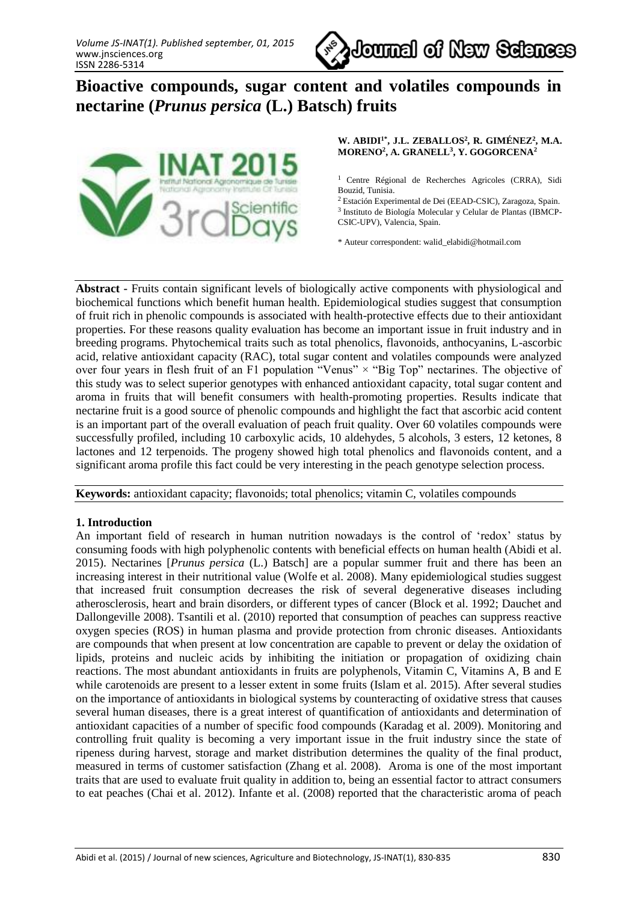

# **Bioactive compounds, sugar content and volatiles compounds in nectarine (***Prunus persica* **(L.) Batsch) fruits**



**W. ABIDI1\*, J.L. ZEBALLOS<sup>2</sup> , R. GIMÉNEZ<sup>2</sup> , M.A. MORENO<sup>2</sup> , A. GRANELL<sup>3</sup> , Y. GOGORCENA<sup>2</sup>**

<sup>1</sup> Centre Régional de Recherches Agricoles (CRRA), Sidi Bouzid, Tunisia.

<sup>2</sup>Estación Experimental de Dei (EEAD-CSIC), Zaragoza, Spain.

3 Instituto de Biología Molecular y Celular de Plantas (IBMCP-CSIC-UPV), Valencia, Spain.

\* Auteur correspondent: walid\_elabidi@hotmail.com

**Abstract -** Fruits contain significant levels of biologically active components with physiological and biochemical functions which benefit human health. Epidemiological studies suggest that consumption of fruit rich in phenolic compounds is associated with health-protective effects due to their antioxidant properties. For these reasons quality evaluation has become an important issue in fruit industry and in breeding programs. Phytochemical traits such as total phenolics, flavonoids, anthocyanins, L-ascorbic acid, relative antioxidant capacity (RAC), total sugar content and volatiles compounds were analyzed over four years in flesh fruit of an F1 population "Venus"  $\times$  "Big Top" nectarines. The objective of this study was to select superior genotypes with enhanced antioxidant capacity, total sugar content and aroma in fruits that will benefit consumers with health-promoting properties. Results indicate that nectarine fruit is a good source of phenolic compounds and highlight the fact that ascorbic acid content is an important part of the overall evaluation of peach fruit quality. Over 60 volatiles compounds were successfully profiled, including 10 carboxylic acids, 10 aldehydes, 5 alcohols, 3 esters, 12 ketones, 8 lactones and 12 terpenoids. The progeny showed high total phenolics and flavonoids content, and a significant aroma profile this fact could be very interesting in the peach genotype selection process.

**Keywords:** antioxidant capacity; flavonoids; total phenolics; vitamin C, volatiles compounds

### **1. Introduction**

An important field of research in human nutrition nowadays is the control of 'redox' status by consuming foods with high polyphenolic contents with beneficial effects on human health (Abidi et al. 2015). Nectarines [*Prunus persica* (L.) Batsch] are a popular summer fruit and there has been an increasing interest in their nutritional value (Wolfe et al. 2008). Many epidemiological studies suggest that increased fruit consumption decreases the risk of several degenerative diseases including atherosclerosis, heart and brain disorders, or different types of cancer (Block et al. 1992; Dauchet and Dallongeville 2008). Tsantili et al. (2010) reported that consumption of peaches can suppress reactive oxygen species (ROS) in human plasma and provide protection from chronic diseases. Antioxidants are compounds that when present at low concentration are capable to prevent or delay the oxidation of lipids, proteins and nucleic acids by inhibiting the initiation or propagation of oxidizing chain reactions. The most abundant antioxidants in fruits are polyphenols, Vitamin C, Vitamins A, B and E while carotenoids are present to a lesser extent in some fruits (Islam et al. 2015). After several studies on the importance of antioxidants in biological systems by counteracting of oxidative stress that causes several human diseases, there is a great interest of quantification of antioxidants and determination of antioxidant capacities of a number of specific food compounds (Karadag et al. 2009). Monitoring and controlling fruit quality is becoming a very important issue in the fruit industry since the state of ripeness during harvest, storage and market distribution determines the quality of the final product, measured in terms of customer satisfaction (Zhang et al. 2008). Aroma is one of the most important traits that are used to evaluate fruit quality in addition to, being an essential factor to attract consumers to eat peaches (Chai et al. 2012). Infante et al. (2008) reported that the characteristic aroma of peach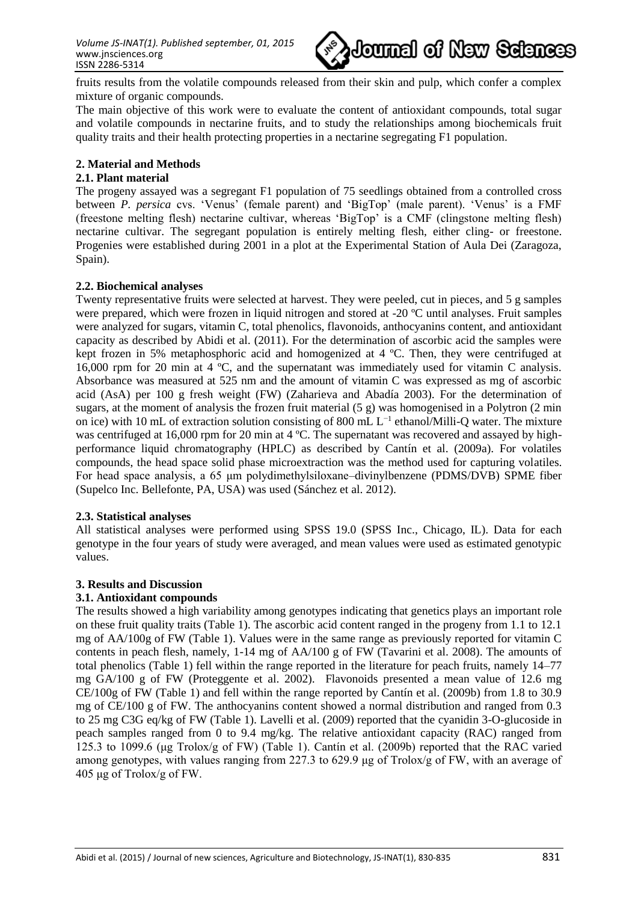

fruits results from the volatile compounds released from their skin and pulp, which confer a complex mixture of organic compounds.

The main objective of this work were to evaluate the content of antioxidant compounds, total sugar and volatile compounds in nectarine fruits, and to study the relationships among biochemicals fruit quality traits and their health protecting properties in a nectarine segregating F1 population.

## **2. Material and Methods**

## **2.1. Plant material**

The progeny assayed was a segregant F1 population of 75 seedlings obtained from a controlled cross between *P. persica* cvs. 'Venus' (female parent) and 'BigTop' (male parent). 'Venus' is a FMF (freestone melting flesh) nectarine cultivar, whereas 'BigTop' is a CMF (clingstone melting flesh) nectarine cultivar. The segregant population is entirely melting flesh, either cling- or freestone. Progenies were established during 2001 in a plot at the Experimental Station of Aula Dei (Zaragoza, Spain).

## **2.2. Biochemical analyses**

Twenty representative fruits were selected at harvest. They were peeled, cut in pieces, and 5 g samples were prepared, which were frozen in liquid nitrogen and stored at -20 ºC until analyses. Fruit samples were analyzed for sugars, vitamin C, total phenolics, flavonoids, anthocyanins content, and antioxidant capacity as described by Abidi et al. (2011). For the determination of ascorbic acid the samples were kept frozen in 5% metaphosphoric acid and homogenized at 4 ºC. Then, they were centrifuged at 16,000 rpm for 20 min at 4 ºC, and the supernatant was immediately used for vitamin C analysis. Absorbance was measured at 525 nm and the amount of vitamin C was expressed as mg of ascorbic acid (AsA) per 100 g fresh weight (FW) (Zaharieva and Abadía 2003). For the determination of sugars, at the moment of analysis the frozen fruit material (5 g) was homogenised in a Polytron (2 min on ice) with 10 mL of extraction solution consisting of 800 mL L<sup>-1</sup> ethanol/Milli-Q water. The mixture was centrifuged at 16,000 rpm for 20 min at 4 °C. The supernatant was recovered and assayed by highperformance liquid chromatography (HPLC) as described by Cantín et al. (2009a). For volatiles compounds, the head space solid phase microextraction was the method used for capturing volatiles. For head space analysis, a 65 μm polydimethylsiloxane–divinylbenzene (PDMS/DVB) SPME fiber (Supelco Inc. Bellefonte, PA, USA) was used (Sánchez et al. 2012).

### **2.3. Statistical analyses**

All statistical analyses were performed using SPSS 19.0 (SPSS Inc., Chicago, IL). Data for each genotype in the four years of study were averaged, and mean values were used as estimated genotypic values.

## **3. Results and Discussion**

### **3.1. Antioxidant compounds**

The results showed a high variability among genotypes indicating that genetics plays an important role on these fruit quality traits (Table 1). The ascorbic acid content ranged in the progeny from 1.1 to 12.1 mg of AA/100g of FW (Table 1). Values were in the same range as previously reported for vitamin C contents in peach flesh, namely, 1-14 mg of AA/100 g of FW (Tavarini et al. 2008). The amounts of total phenolics (Table 1) fell within the range reported in the literature for peach fruits, namely 14–77 mg GA/100 g of FW (Proteggente et al. 2002). Flavonoids presented a mean value of 12.6 mg CE/100g of FW (Table 1) and fell within the range reported by Cantín et al. (2009b) from 1.8 to 30.9 mg of CE/100 g of FW. The anthocyanins content showed a normal distribution and ranged from 0.3 to 25 mg C3G eq/kg of FW (Table 1). Lavelli et al. (2009) reported that the cyanidin 3-O-glucoside in peach samples ranged from 0 to 9.4 mg/kg. The relative antioxidant capacity (RAC) ranged from 125.3 to 1099.6 (μg Trolox/g of FW) (Table 1). Cantín et al. (2009b) reported that the RAC varied among genotypes, with values ranging from 227.3 to 629.9 μg of Trolox/g of FW, with an average of 405 μg of Trolox/g of FW.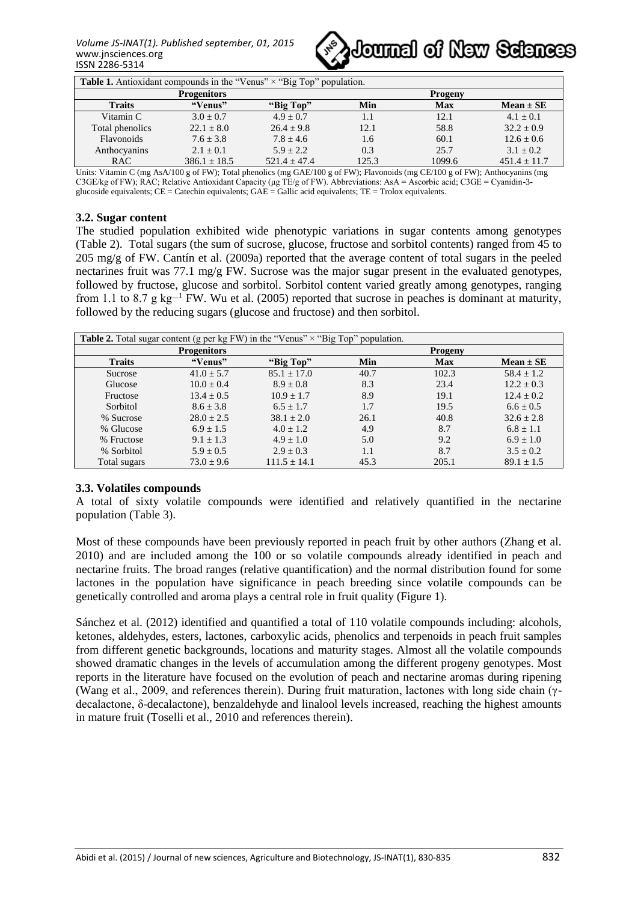

| <b>Table 1.</b> Antioxidant compounds in the "Venus" $\times$ "Big Top" population. |                  |                |                |            |                  |  |
|-------------------------------------------------------------------------------------|------------------|----------------|----------------|------------|------------------|--|
| <b>Progenitors</b>                                                                  |                  |                | <b>Progeny</b> |            |                  |  |
| <b>Traits</b>                                                                       | "Venus"          | "Big Top"      | Min            | <b>Max</b> | $Mean \pm SE$    |  |
| Vitamin C                                                                           | $3.0 + 0.7$      | $4.9 + 0.7$    | 1.1            | 12.1       | $4.1 + 0.1$      |  |
| Total phenolics                                                                     | $22.1 + 8.0$     | $26.4 + 9.8$   | 12.1           | 58.8       | $32.2 + 0.9$     |  |
| <b>Flavonoids</b>                                                                   | $7.6 + 3.8$      | $7.8 + 4.6$    | 1.6            | 60.1       | $12.6 + 0.6$     |  |
| Anthocyanins                                                                        | $2.1 + 0.1$      | $5.9 + 2.2$    | 0.3            | 25.7       | $3.1 + 0.2$      |  |
| <b>RAC</b>                                                                          | $386.1 \pm 18.5$ | $521.4 + 47.4$ | 125.3          | 1099.6     | $451.4 \pm 11.7$ |  |

Units: Vitamin C (mg AsA/100 g of FW); Total phenolics (mg GAE/100 g of FW); Flavonoids (mg CE/100 g of FW); Anthocyanins (mg C3GE/kg of FW); RAC; Relative Antioxidant Capacity (μg TE/g of FW). Abbreviations: AsA = Ascorbic acid; C3GE = Cyanidin-3 glucoside equivalents;  $CE =$  Catechin equivalents;  $GAE =$  Gallic acid equivalents;  $TE =$  Trolox equivalents.

## **3.2. Sugar content**

The studied population exhibited wide phenotypic variations in sugar contents among genotypes (Table 2). Total sugars (the sum of sucrose, glucose, fructose and sorbitol contents) ranged from 45 to 205 mg/g of FW. Cantín et al. (2009a) reported that the average content of total sugars in the peeled nectarines fruit was 77.1 mg/g FW. Sucrose was the major sugar present in the evaluated genotypes, followed by fructose, glucose and sorbitol. Sorbitol content varied greatly among genotypes, ranging from 1.1 to 8.7 g kg−<sup>1</sup> FW. Wu et al. (2005) reported that sucrose in peaches is dominant at maturity, followed by the reducing sugars (glucose and fructose) and then sorbitol.

| <b>Table 2.</b> Total sugar content (g per kg FW) in the "Venus" $\times$ "Big Top" population. |                    |                  |      |                |                |  |
|-------------------------------------------------------------------------------------------------|--------------------|------------------|------|----------------|----------------|--|
|                                                                                                 | <b>Progenitors</b> |                  |      | <b>Progeny</b> |                |  |
| <b>Traits</b>                                                                                   | "Venus"            | "Big Top"        | Min  | <b>Max</b>     | $Mean \pm SE$  |  |
| Sucrose                                                                                         | $41.0 + 5.7$       | $85.1 \pm 17.0$  | 40.7 | 102.3          | $58.4 \pm 1.2$ |  |
| Glucose                                                                                         | $10.0 \pm 0.4$     | $8.9 \pm 0.8$    | 8.3  | 23.4           | $12.2 \pm 0.3$ |  |
| Fructose                                                                                        | $13.4 + 0.5$       | $10.9 \pm 1.7$   | 8.9  | 19.1           | $12.4 \pm 0.2$ |  |
| Sorbitol                                                                                        | $8.6 \pm 3.8$      | $6.5 + 1.7$      | 1.7  | 19.5           | $6.6 \pm 0.5$  |  |
| % Sucrose                                                                                       | $28.0 \pm 2.5$     | $38.1 \pm 2.0$   | 26.1 | 40.8           | $32.6 \pm 2.8$ |  |
| % Glucose                                                                                       | $6.9 + 1.5$        | $4.0 + 1.2$      | 4.9  | 8.7            | $6.8 \pm 1.1$  |  |
| % Fructose                                                                                      | $9.1 + 1.3$        | $4.9 \pm 1.0$    | 5.0  | 9.2            | $6.9 \pm 1.0$  |  |
| % Sorbitol                                                                                      | $5.9 \pm 0.5$      | $2.9 \pm 0.3$    | 1.1  | 8.7            | $3.5 \pm 0.2$  |  |
| Total sugars                                                                                    | $73.0 \pm 9.6$     | $111.5 \pm 14.1$ | 45.3 | 205.1          | $89.1 \pm 1.5$ |  |

### **3.3. Volatiles compounds**

A total of sixty volatile compounds were identified and relatively quantified in the nectarine population (Table 3).

Most of these compounds have been previously reported in peach fruit by other authors (Zhang et al. 2010) and are included among the 100 or so volatile compounds already identified in peach and nectarine fruits. The broad ranges (relative quantification) and the normal distribution found for some lactones in the population have significance in peach breeding since volatile compounds can be genetically controlled and aroma plays a central role in fruit quality (Figure 1).

Sánchez et al. (2012) identified and quantified a total of 110 volatile compounds including: alcohols, ketones, aldehydes, esters, lactones, carboxylic acids, phenolics and terpenoids in peach fruit samples from different genetic backgrounds, locations and maturity stages. Almost all the volatile compounds showed dramatic changes in the levels of accumulation among the different progeny genotypes. Most reports in the literature have focused on the evolution of peach and nectarine aromas during ripening (Wang et al., 2009, and references therein). During fruit maturation, lactones with long side chain (γdecalactone, δ-decalactone), benzaldehyde and linalool levels increased, reaching the highest amounts in mature fruit (Toselli et al., 2010 and references therein).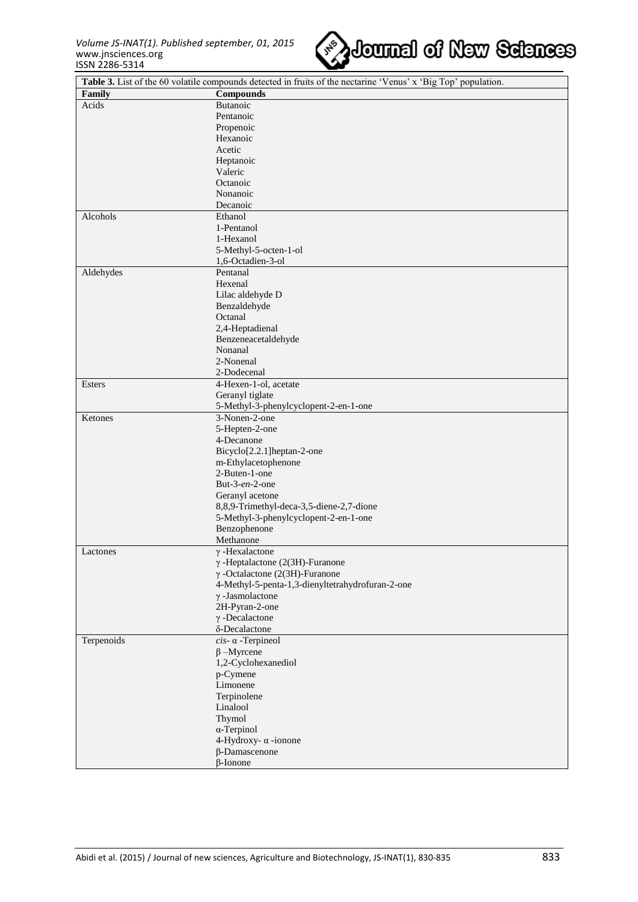

| Table 3. List of the 60 volatile compounds detected in fruits of the nectarine 'Venus' x 'Big Top' population. |                                                  |  |
|----------------------------------------------------------------------------------------------------------------|--------------------------------------------------|--|
| Family                                                                                                         | <b>Compounds</b>                                 |  |
| Acids                                                                                                          | Butanoic                                         |  |
|                                                                                                                | Pentanoic                                        |  |
|                                                                                                                | Propenoic                                        |  |
|                                                                                                                | Hexanoic                                         |  |
|                                                                                                                | Acetic                                           |  |
|                                                                                                                | Heptanoic                                        |  |
|                                                                                                                | Valeric                                          |  |
|                                                                                                                | Octanoic                                         |  |
|                                                                                                                | Nonanoic                                         |  |
|                                                                                                                | Decanoic                                         |  |
| Alcohols                                                                                                       | Ethanol                                          |  |
|                                                                                                                | 1-Pentanol                                       |  |
|                                                                                                                | 1-Hexanol                                        |  |
|                                                                                                                | 5-Methyl-5-octen-1-ol                            |  |
|                                                                                                                | 1,6-Octadien-3-ol                                |  |
| Aldehydes                                                                                                      | Pentanal                                         |  |
|                                                                                                                | Hexenal                                          |  |
|                                                                                                                | Lilac aldehyde D                                 |  |
|                                                                                                                | Benzaldehyde                                     |  |
|                                                                                                                | Octanal                                          |  |
|                                                                                                                | 2,4-Heptadienal                                  |  |
|                                                                                                                | Benzeneacetaldehyde                              |  |
|                                                                                                                | Nonanal                                          |  |
|                                                                                                                | 2-Nonenal                                        |  |
|                                                                                                                | 2-Dodecenal                                      |  |
| Esters                                                                                                         | 4-Hexen-1-ol, acetate                            |  |
|                                                                                                                | Geranyl tiglate                                  |  |
|                                                                                                                | 5-Methyl-3-phenylcyclopent-2-en-1-one            |  |
| Ketones                                                                                                        | $\overline{3-N}$ onen-2-one                      |  |
|                                                                                                                | 5-Hepten-2-one                                   |  |
|                                                                                                                | 4-Decanone                                       |  |
|                                                                                                                | Bicyclo[2.2.1]heptan-2-one                       |  |
|                                                                                                                | m-Ethylacetophenone                              |  |
|                                                                                                                | 2-Buten-1-one                                    |  |
|                                                                                                                | But-3-en-2-one                                   |  |
|                                                                                                                | Geranyl acetone                                  |  |
|                                                                                                                | 8,8,9-Trimethyl-deca-3,5-diene-2,7-dione         |  |
|                                                                                                                | 5-Methyl-3-phenylcyclopent-2-en-1-one            |  |
|                                                                                                                | Benzophenone                                     |  |
|                                                                                                                | Methanone                                        |  |
| Lactones                                                                                                       | $\gamma$ -Hexalactone                            |  |
|                                                                                                                | $\gamma$ -Heptalactone (2(3H)-Furanone           |  |
|                                                                                                                | $\gamma$ -Octalactone (2(3H)-Furanone            |  |
|                                                                                                                | 4-Methyl-5-penta-1,3-dienyltetrahydrofuran-2-one |  |
|                                                                                                                | $\gamma$ -Jasmolactone                           |  |
|                                                                                                                | 2H-Pyran-2-one                                   |  |
|                                                                                                                | $\gamma$ -Decalactone                            |  |
|                                                                                                                | δ-Decalactone                                    |  |
| Terpenoids                                                                                                     | $cis$ - $\alpha$ -Terpineol                      |  |
|                                                                                                                | $\beta$ -Myrcene                                 |  |
|                                                                                                                | 1,2-Cyclohexanediol                              |  |
|                                                                                                                | p-Cymene                                         |  |
|                                                                                                                | Limonene                                         |  |
|                                                                                                                | Terpinolene                                      |  |
|                                                                                                                | Linalool                                         |  |
|                                                                                                                | Thymol                                           |  |
|                                                                                                                | $\alpha$ -Terpinol                               |  |
|                                                                                                                | 4-Hydroxy- $\alpha$ -ionone                      |  |
|                                                                                                                | $\beta$ -Damascenone                             |  |
|                                                                                                                | $\beta$ -Ionone                                  |  |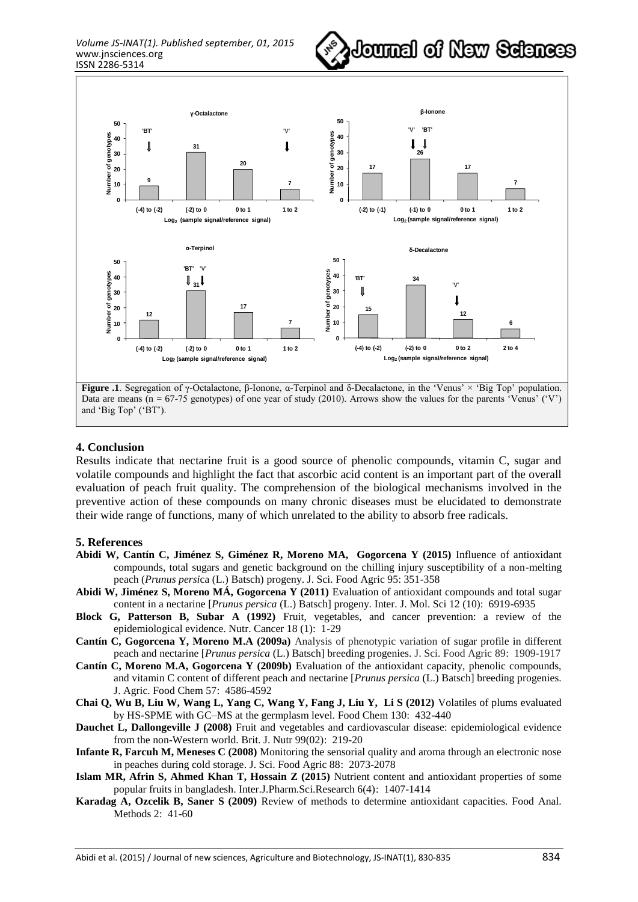



**Figure .1**. Segregation of γ-Octalactone, β-Ionone, α-Terpinol and δ-Decalactone, in the 'Venus' × 'Big Top' population. Data are means (n = 67-75 genotypes) of one year of study (2010). Arrows show the values for the parents 'Venus' ('V') and 'Big Top' ('BT').

## **4. Conclusion**

Results indicate that nectarine fruit is a good source of phenolic compounds, vitamin C, sugar and volatile compounds and highlight the fact that ascorbic acid content is an important part of the overall evaluation of peach fruit quality. The comprehension of the biological mechanisms involved in the preventive action of these compounds on many chronic diseases must be elucidated to demonstrate their wide range of functions, many of which unrelated to the ability to absorb free radicals.

#### **5. References**

- **Abidi W, Cantín C, Jiménez S, Giménez R, Moreno MA, Gogorcena Y (2015)** Influence of antioxidant compounds, total sugars and genetic background on the chilling injury susceptibility of a non-melting peach (*Prunus persi*ca (L.) Batsch) progeny. J. Sci. Food Agric 95: 351-358
- **Abidi W, Jiménez S, Moreno MÁ, Gogorcena Y (2011)** Evaluation of antioxidant compounds and total sugar content in a nectarine [*Prunus persica* (L.) Batsch] progeny. Inter. J. Mol. Sci 12 (10): 6919-6935
- **Block G, Patterson B, Subar A (1992)** Fruit, vegetables, and cancer prevention: a review of the epidemiological evidence. Nutr. Cancer 18 (1): 1-29
- **Cantín C, Gogorcena Y, Moreno M.A (2009a)** Analysis of phenotypic variation of sugar profile in different peach and nectarine [*Prunus persica* (L.) Batsch] breeding progenies. J. Sci. Food Agric 89: 1909-1917
- **Cantín C, Moreno M.A, Gogorcena Y (2009b)** Evaluation of the antioxidant capacity, phenolic compounds, and vitamin C content of different peach and nectarine [*Prunus persica* (L.) Batsch] breeding progenies. J. Agric. Food Chem 57: 4586-4592
- **Chai Q, Wu B, Liu W, Wang L, Yang C, Wang Y, Fang J, Liu Y, Li S (2012)** Volatiles of plums evaluated by HS-SPME with GC–MS at the germplasm level. Food Chem 130: 432-440
- **Dauchet L, Dallongeville J (2008)** Fruit and vegetables and cardiovascular disease: epidemiological evidence from the non-Western world. Brit. J. Nutr 99(02): 219-20
- **Infante R, Farcuh M, Meneses C (2008)** Monitoring the sensorial quality and aroma through an electronic nose in peaches during cold storage. J. Sci. Food Agric 88: 2073-2078
- **Islam MR, Afrin S, Ahmed Khan T, Hossain Z (2015)** Nutrient content and antioxidant properties of some popular fruits in bangladesh. Inter.J.Pharm.Sci.Research 6(4): 1407-1414
- **Karadag A, Ozcelik B, Saner S (2009)** Review of methods to determine antioxidant capacities. Food Anal. Methods 2: 41-60